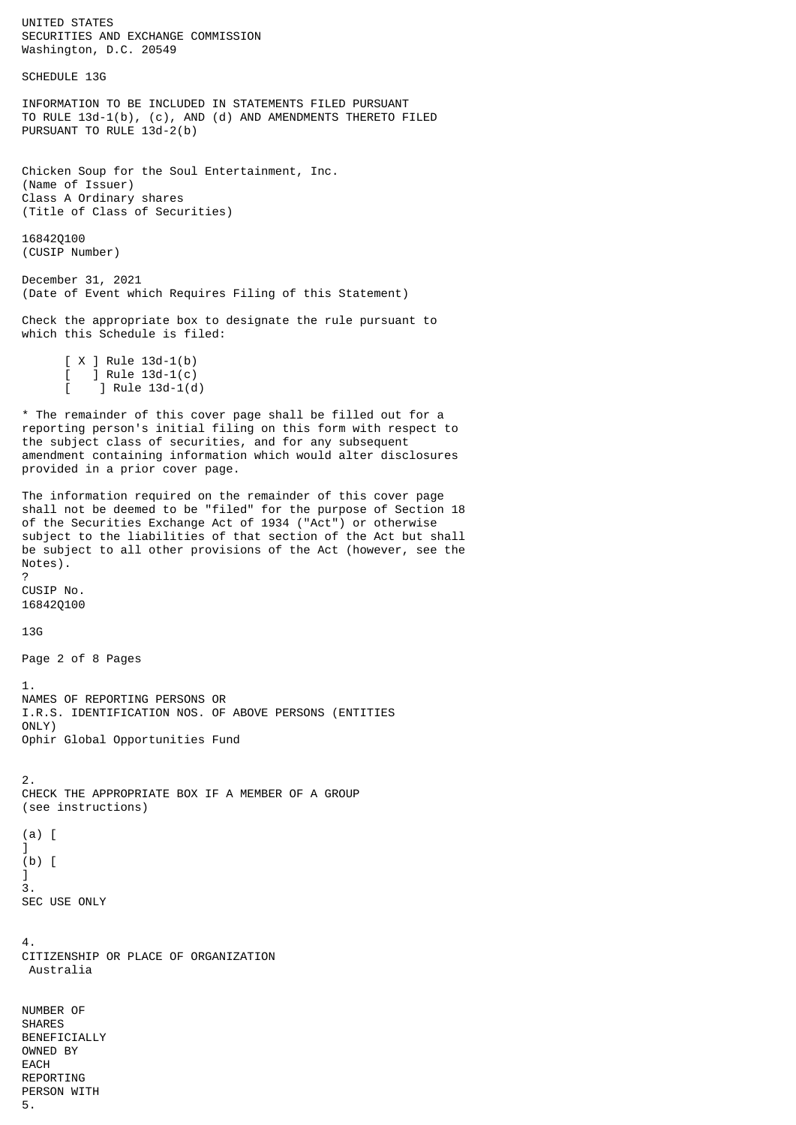UNITED STATES SECURITIES AND EXCHANGE COMMISSION Washington, D.C. 20549 SCHEDULE 13G INFORMATION TO BE INCLUDED IN STATEMENTS FILED PURSUANT TO RULE 13d-1(b), (c), AND (d) AND AMENDMENTS THERETO FILED PURSUANT TO RULE 13d-2(b) Chicken Soup for the Soul Entertainment, Inc. (Name of Issuer) Class A Ordinary shares (Title of Class of Securities) 16842Q100 (CUSIP Number) December 31, 2021 (Date of Event which Requires Filing of this Statement) Check the appropriate box to designate the rule pursuant to which this Schedule is filed: [ X ] Rule 13d-1(b) ] Rule  $13d-1(c)$  $\int$  Rule 13d-1(d) \* The remainder of this cover page shall be filled out for a reporting person's initial filing on this form with respect to the subject class of securities, and for any subsequent amendment containing information which would alter disclosures provided in a prior cover page. The information required on the remainder of this cover page shall not be deemed to be "filed" for the purpose of Section 18 of the Securities Exchange Act of 1934 ("Act") or otherwise subject to the liabilities of that section of the Act but shall be subject to all other provisions of the Act (however, see the Notes). ? CUSIP No. 16842Q100 13G Page 2 of 8 Pages 1. NAMES OF REPORTING PERSONS OR I.R.S. IDENTIFICATION NOS. OF ABOVE PERSONS (ENTITIES ONLY) Ophir Global Opportunities Fund 2. CHECK THE APPROPRIATE BOX IF A MEMBER OF A GROUP (see instructions) (a) [  $\bf{l}$ (b) [  $\bf{l}$ 3. SEC USE ONLY 4. CITIZENSHIP OR PLACE OF ORGANIZATION Australia NUMBER OF SHARES BENEFICIALLY OWNED BY EACH REPORTING PERSON WITH 5.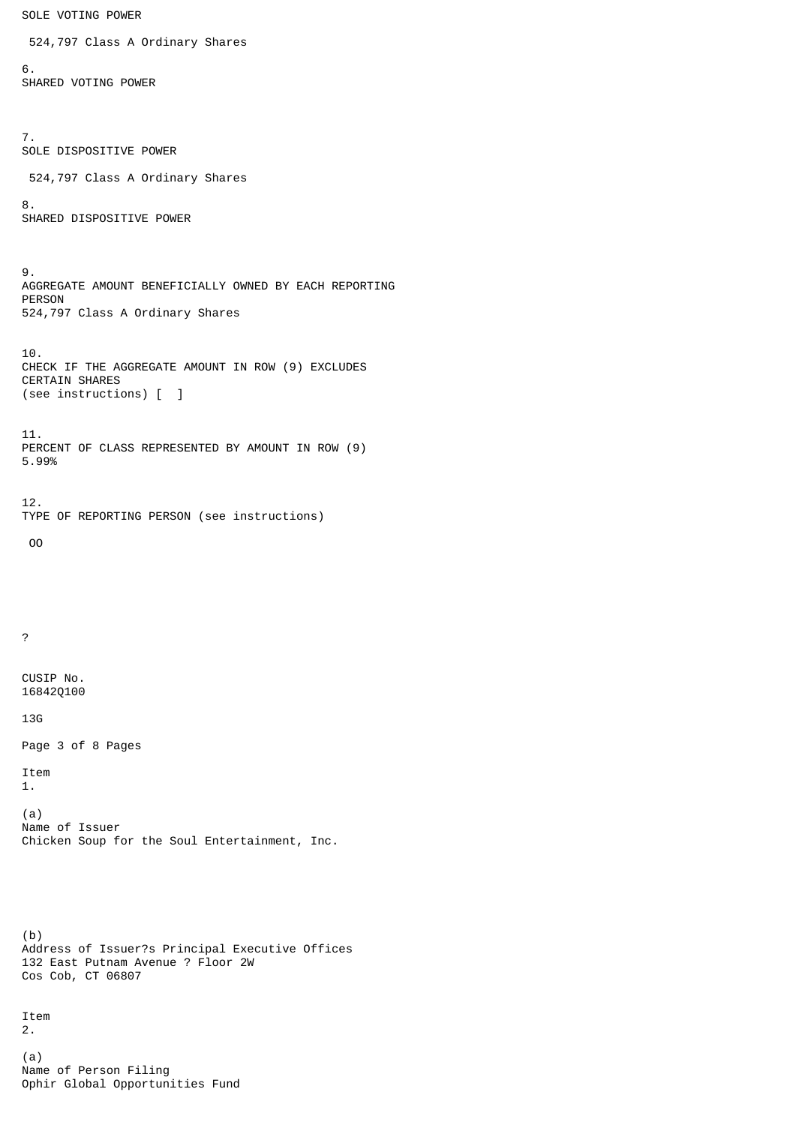SOLE VOTING POWER 524,797 Class A Ordinary Shares 6. SHARED VOTING POWER 7. SOLE DISPOSITIVE POWER 524,797 Class A Ordinary Shares 8. SHARED DISPOSITIVE POWER 9. AGGREGATE AMOUNT BENEFICIALLY OWNED BY EACH REPORTING PERSON 524,797 Class A Ordinary Shares 10. CHECK IF THE AGGREGATE AMOUNT IN ROW (9) EXCLUDES CERTAIN SHARES (see instructions) [ ] 11. PERCENT OF CLASS REPRESENTED BY AMOUNT IN ROW (9) 5.99% 12. TYPE OF REPORTING PERSON (see instructions) OO ? CUSIP No. 16842Q100 13G Page 3 of 8 Pages Item 1. (a) Name of Issuer Chicken Soup for the Soul Entertainment, Inc. (b) Address of Issuer?s Principal Executive Offices 132 East Putnam Avenue ? Floor 2W Cos Cob, CT 06807 Item 2. (a) Name of Person Filing Ophir Global Opportunities Fund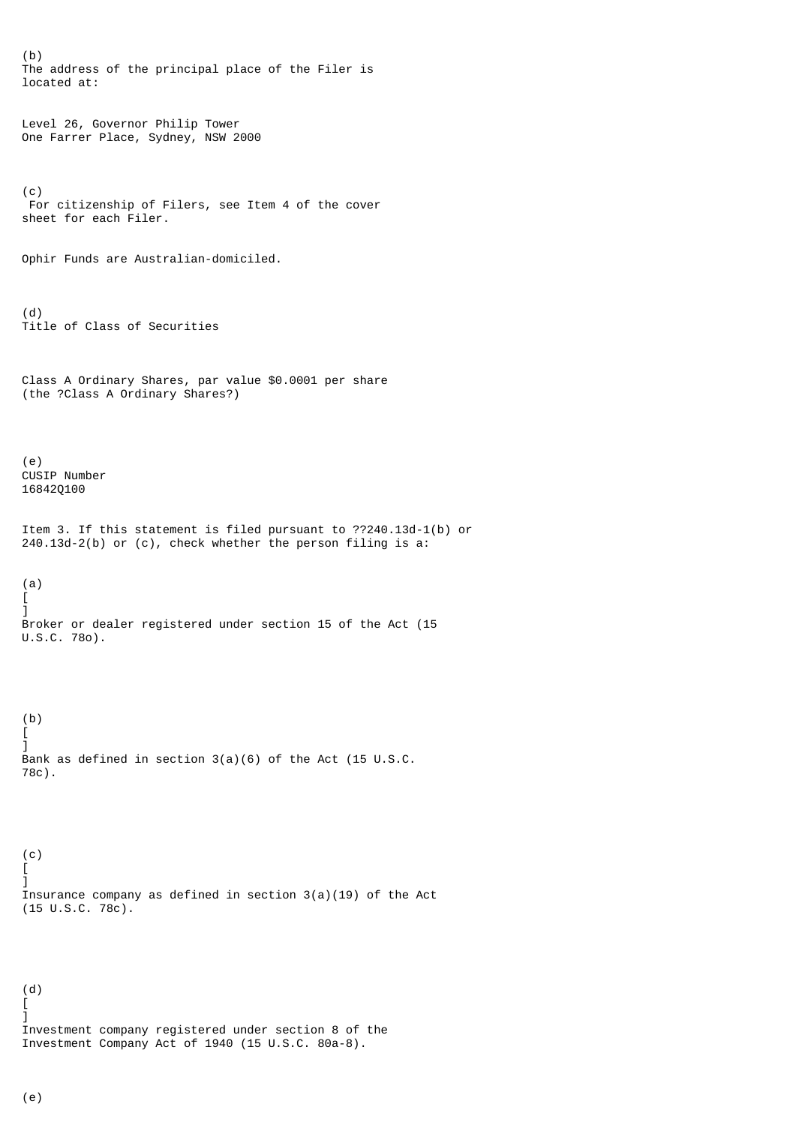(b) The address of the principal place of the Filer is located at: Level 26, Governor Philip Tower One Farrer Place, Sydney, NSW 2000 (c) For citizenship of Filers, see Item 4 of the cover sheet for each Filer. Ophir Funds are Australian-domiciled. (d) Title of Class of Securities Class A Ordinary Shares, par value \$0.0001 per share (the ?Class A Ordinary Shares?) (e) CUSIP Number 16842Q100 Item 3. If this statement is filed pursuant to ??240.13d-1(b) or 240.13d-2(b) or (c), check whether the person filing is a: (a) [ ] Broker or dealer registered under section 15 of the Act (15 U.S.C. 78o). (b) [ ] Bank as defined in section 3(a)(6) of the Act (15 U.S.C. 78c). (c) [ ] Insurance company as defined in section 3(a)(19) of the Act (15 U.S.C. 78c). (d) [ ] Investment company registered under section 8 of the Investment Company Act of 1940 (15 U.S.C. 80a-8).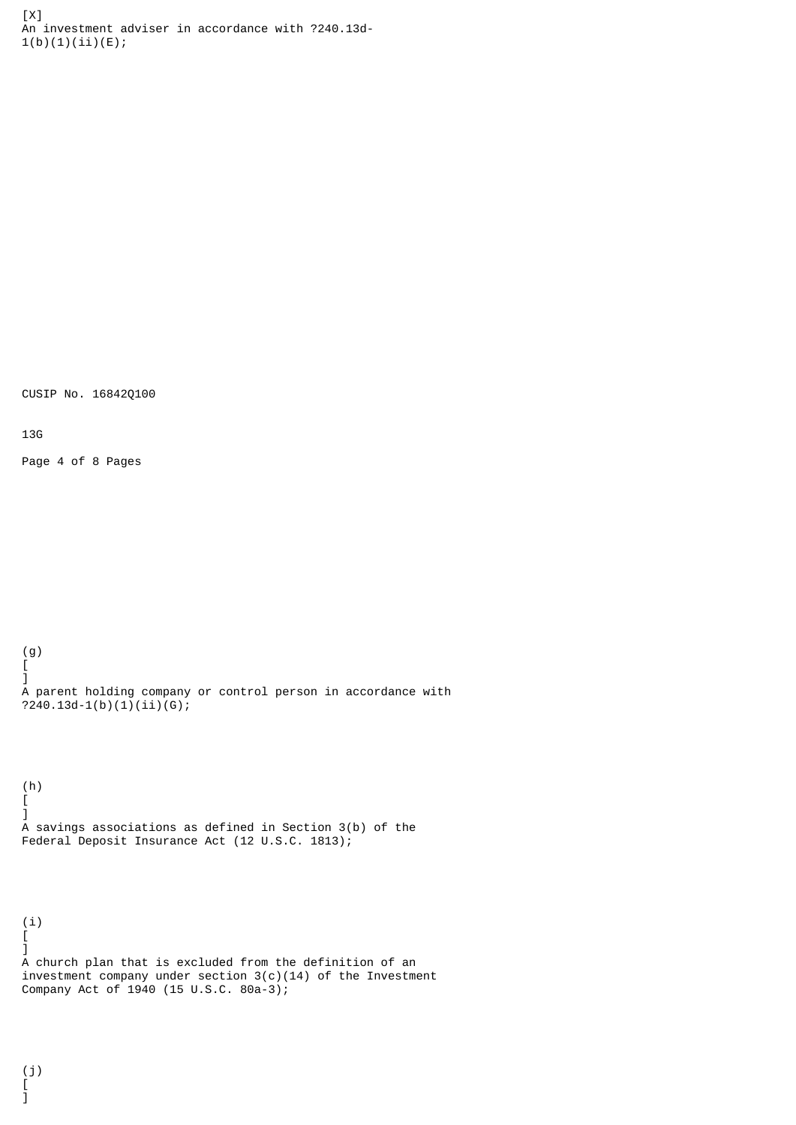[X] An investment adviser in accordance with ?240.13d- $1(b)(1)(ii)(E);$ 

CUSIP No. 16842Q100

13G

Page 4 of 8 Pages

(g) [ ] A parent holding company or control person in accordance with ?240.13d-1(b)(1)(ii)(G);

(h) [  $\bf{l}$ A savings associations as defined in Section 3(b) of the Federal Deposit Insurance Act (12 U.S.C. 1813);

(i) [  $\bf{l}$ A church plan that is excluded from the definition of an investment company under section 3(c)(14) of the Investment Company Act of 1940 (15 U.S.C. 80a-3);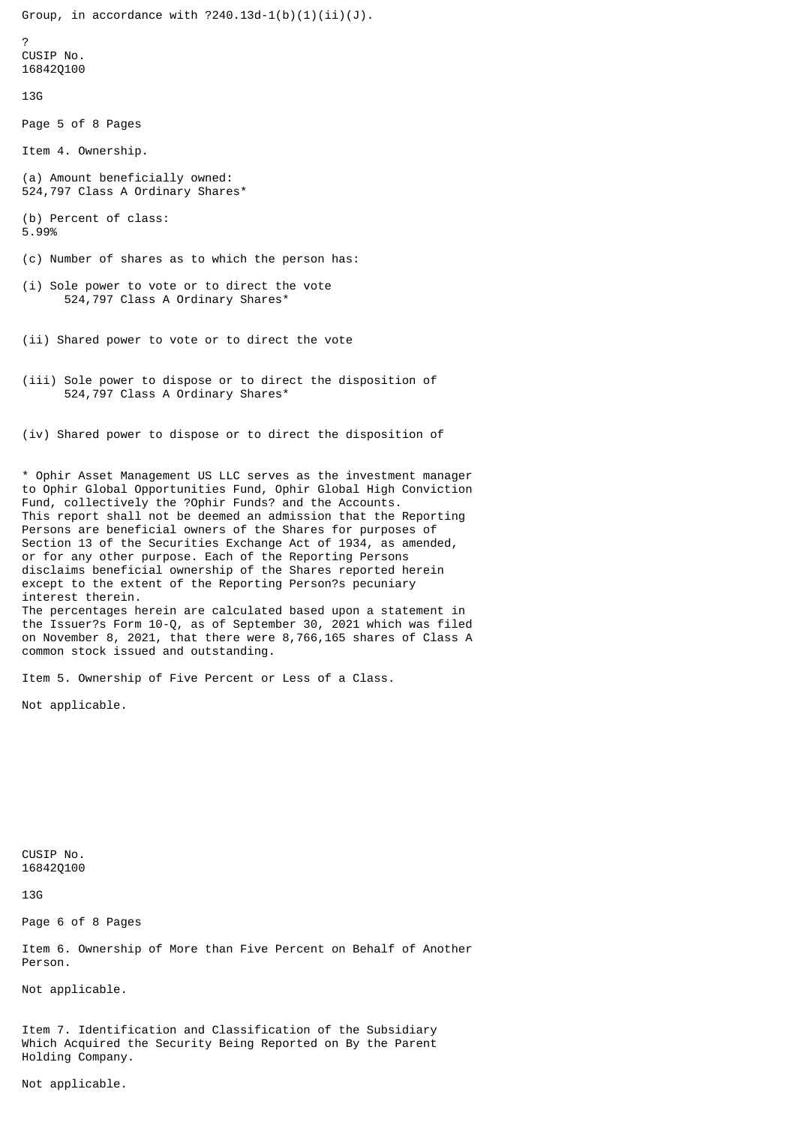Group, in accordance with  $?240.13d-1(b)(1)(ii)(J)$ .  $\mathcal{L}$ CUSIP No. 16842Q100 13G Page 5 of 8 Pages Item 4. Ownership. (a) Amount beneficially owned: 524,797 Class A Ordinary Shares\* (b) Percent of class: 5.99% (c) Number of shares as to which the person has: (i) Sole power to vote or to direct the vote 524,797 Class A Ordinary Shares\* (ii) Shared power to vote or to direct the vote (iii) Sole power to dispose or to direct the disposition of 524,797 Class A Ordinary Shares\* (iv) Shared power to dispose or to direct the disposition of \* Ophir Asset Management US LLC serves as the investment manager to Ophir Global Opportunities Fund, Ophir Global High Conviction Fund, collectively the ?Ophir Funds? and the Accounts. This report shall not be deemed an admission that the Reporting Persons are beneficial owners of the Shares for purposes of Section 13 of the Securities Exchange Act of 1934, as amended, or for any other purpose. Each of the Reporting Persons disclaims beneficial ownership of the Shares reported herein except to the extent of the Reporting Person?s pecuniary interest therein. The percentages herein are calculated based upon a statement in the Issuer?s Form 10-Q, as of September 30, 2021 which was filed

on November 8, 2021, that there were 8,766,165 shares of Class A common stock issued and outstanding.

Item 5. Ownership of Five Percent or Less of a Class.

Not applicable.

CUSIP No. 16842Q100

13G

Page 6 of 8 Pages

Item 6. Ownership of More than Five Percent on Behalf of Another Person.

Not applicable.

Item 7. Identification and Classification of the Subsidiary Which Acquired the Security Being Reported on By the Parent Holding Company.

Not applicable.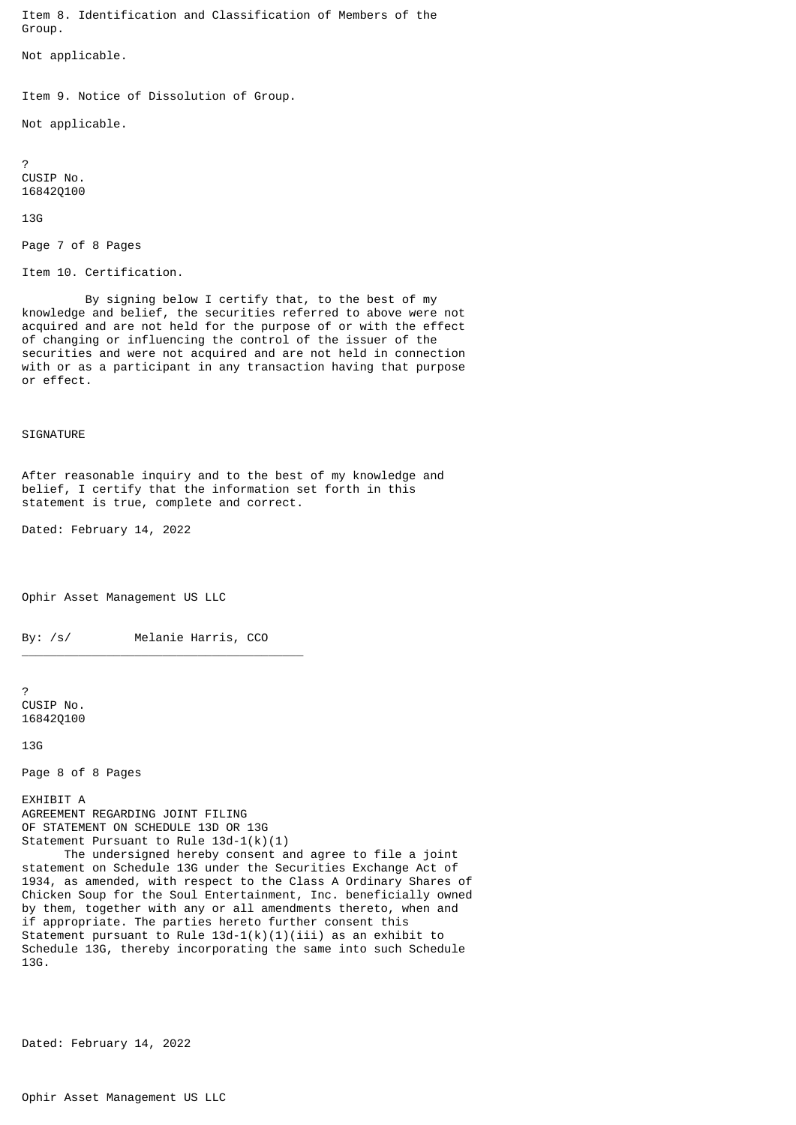Item 8. Identification and Classification of Members of the Group.

Not applicable.

Item 9. Notice of Dissolution of Group.

Not applicable.

? CUSIP No. 16842Q100

13G

```
Page 7 of 8 Pages
```
Item 10. Certification.

 By signing below I certify that, to the best of my knowledge and belief, the securities referred to above were not acquired and are not held for the purpose of or with the effect of changing or influencing the control of the issuer of the securities and were not acquired and are not held in connection with or as a participant in any transaction having that purpose or effect.

## **SIGNATURE**

After reasonable inquiry and to the best of my knowledge and belief, I certify that the information set forth in this statement is true, complete and correct.

Dated: February 14, 2022

Ophir Asset Management US LLC

By: /s/ Melanie Harris, CCO

\_\_\_\_\_\_\_\_\_\_\_\_\_\_\_\_\_\_\_\_\_\_\_\_\_\_\_\_\_\_\_\_\_\_\_\_\_\_\_\_

? CUSIP No. 16842Q100

13G

Page 8 of 8 Pages

EXHIBIT A AGREEMENT REGARDING JOINT FILING OF STATEMENT ON SCHEDULE 13D OR 13G Statement Pursuant to Rule 13d-1(k)(1) The undersigned hereby consent and agree to file a joint statement on Schedule 13G under the Securities Exchange Act of

1934, as amended, with respect to the Class A Ordinary Shares of Chicken Soup for the Soul Entertainment, Inc. beneficially owned by them, together with any or all amendments thereto, when and if appropriate. The parties hereto further consent this Statement pursuant to Rule  $13d-1(k)(1)(iii)$  as an exhibit to Schedule 13G, thereby incorporating the same into such Schedule 13G.

Dated: February 14, 2022